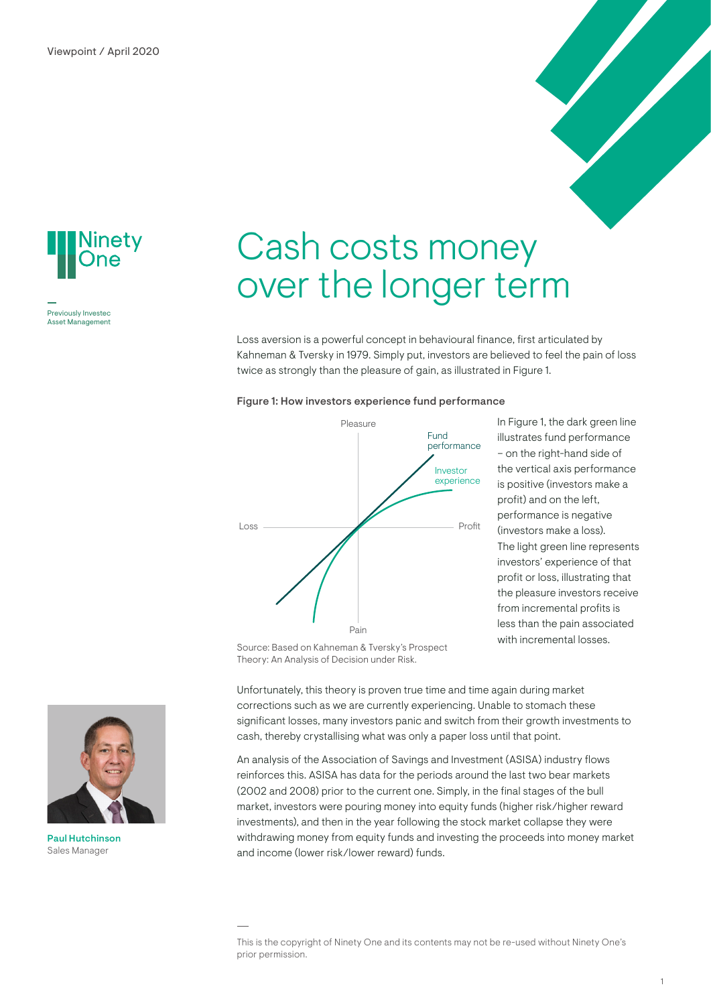

Previously Investec Asset Management

# Cash costs money over the longer term

Loss aversion is a powerful concept in behavioural finance, first articulated by Kahneman & Tversky in 1979. Simply put, investors are believed to feel the pain of loss twice as strongly than the pleasure of gain, as illustrated in Figure 1.

#### Figure 1: How investors experience fund performance



In Figure 1, the dark green line illustrates fund performance – on the right-hand side of the vertical axis performance is positive (investors make a profit) and on the left, performance is negative (investors make a loss). The light green line represents investors' experience of that profit or loss, illustrating that the pleasure investors receive from incremental profits is less than the pain associated with incremental losses.

Source: Based on Kahneman & Tversky's Prospect Theory: An Analysis of Decision under Risk.

Unfortunately, this theory is proven true time and time again during market corrections such as we are currently experiencing. Unable to stomach these significant losses, many investors panic and switch from their growth investments to cash, thereby crystallising what was only a paper loss until that point.

An analysis of the Association of Savings and Investment (ASISA) industry flows reinforces this. ASISA has data for the periods around the last two bear markets (2002 and 2008) prior to the current one. Simply, in the final stages of the bull market, investors were pouring money into equity funds (higher risk/higher reward investments), and then in the year following the stock market collapse they were withdrawing money from equity funds and investing the proceeds into money market and income (lower risk/lower reward) funds.





Paul Hutchinson Sales Manager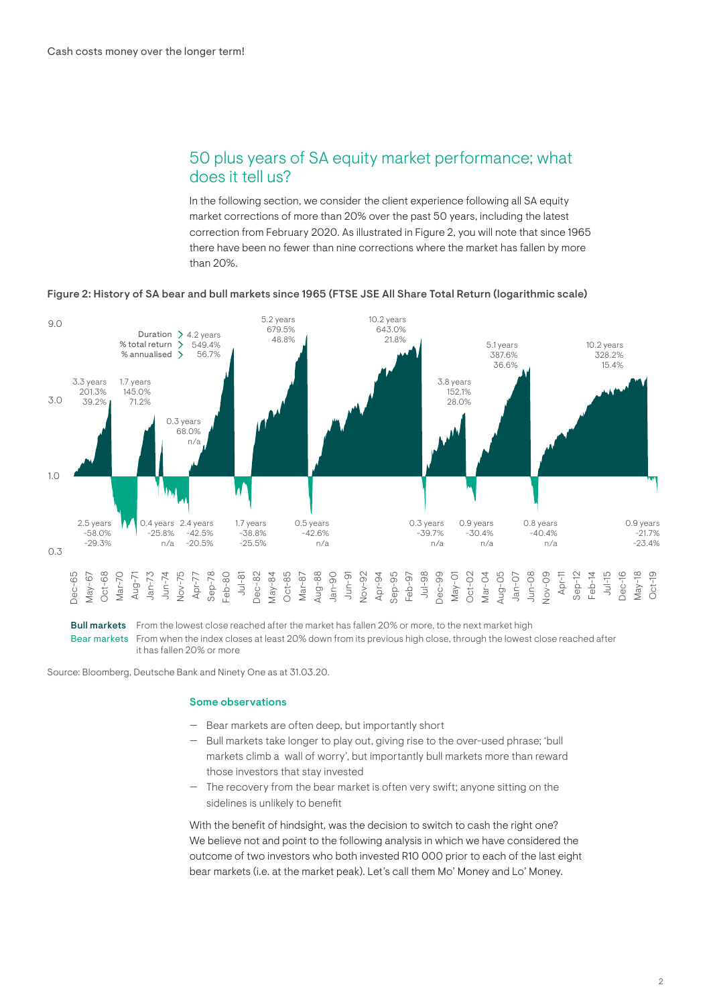# 50 plus years of SA equity market performance; what does it tell us?

In the following section, we consider the client experience following all SA equity market corrections of more than 20% over the past 50 years, including the latest correction from February 2020. As illustrated in Figure 2, you will note that since 1965 there have been no fewer than nine corrections where the market has fallen by more than 20%.



### Figure 2: History of SA bear and bull markets since 1965 (FTSE JSE All Share Total Return (logarithmic scale)

Bull markets Bear markets From when the index closes at least 20% down from its previous high close, through the lowest close reached after From the lowest close reached after the market has fallen 20% or more, to the next market high it has fallen 20% or more

Source: Bloomberg, Deutsche Bank and Ninety One as at 31.03.20.

### Some observations

- Bear markets are often deep, but importantly short
- Bull markets take longer to play out, giving rise to the over-used phrase; 'bull markets climb a wall of worry', but importantly bull markets more than reward those investors that stay invested
- $-$  The recovery from the bear market is often very swift; anyone sitting on the sidelines is unlikely to benefit

With the benefit of hindsight, was the decision to switch to cash the right one? We believe not and point to the following analysis in which we have considered the outcome of two investors who both invested R10 000 prior to each of the last eight bear markets (i.e. at the market peak). Let's call them Mo' Money and Lo' Money.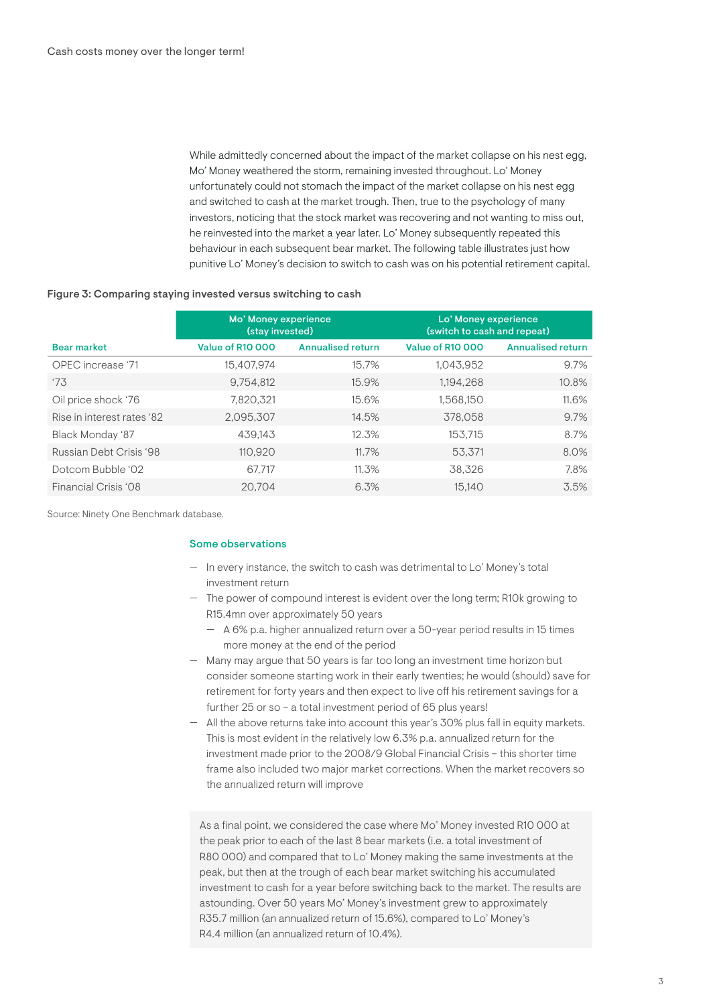While admittedly concerned about the impact of the market collapse on his nest egg, Mo' Money weathered the storm, remaining invested throughout. Lo' Money unfortunately could not stomach the impact of the market collapse on his nest egg and switched to cash at the market trough. Then, true to the psychology of many investors, noticing that the stock market was recovering and not wanting to miss out, he reinvested into the market a year later. Lo' Money subsequently repeated this behaviour in each subsequent bear market. The following table illustrates just how punitive Lo' Money's decision to switch to cash was on his potential retirement capital.

## Figure 3: Comparing staying invested versus switching to cash

|                            | Mo' Money experience<br>(stay invested) |                          | Lo' Money experience<br>(switch to cash and repeat) |                          |
|----------------------------|-----------------------------------------|--------------------------|-----------------------------------------------------|--------------------------|
| <b>Bear market</b>         | Value of R10 000                        | <b>Annualised return</b> | Value of R10 000                                    | <b>Annualised return</b> |
| OPEC increase '71          | 15.407.974                              | 15.7%                    | 1.043.952                                           | 9.7%                     |
| '73                        | 9,754,812                               | 15.9%                    | 1.194.268                                           | 10.8%                    |
| Oil price shock '76        | 7,820,321                               | 15.6%                    | 1,568,150                                           | 11.6%                    |
| Rise in interest rates '82 | 2,095,307                               | 14.5%                    | 378.058                                             | 9.7%                     |
| Black Monday '87           | 439.143                                 | 12.3%                    | 153.715                                             | 8.7%                     |
| Russian Debt Crisis '98    | 110,920                                 | 11.7%                    | 53.371                                              | 8.0%                     |
| Dotcom Bubble '02          | 67.717                                  | 11.3%                    | 38.326                                              | 7.8%                     |
| Financial Crisis '08       | 20.704                                  | 6.3%                     | 15.140                                              | 3.5%                     |

Source: Ninety One Benchmark database.

## Some observations

- In every instance, the switch to cash was detrimental to Lo' Money's total investment return
- The power of compound interest is evident over the long term; R10k growing to R15.4mn over approximately 50 years
	- ɽ A 6% p.a. higher annualized return over a 50-year period results in 15 times more money at the end of the period
- Many may argue that 50 years is far too long an investment time horizon but consider someone starting work in their early twenties; he would (should) save for retirement for forty years and then expect to live off his retirement savings for a further 25 or so - a total investment period of 65 plus years!
- All the above returns take into account this year's 30% plus fall in equity markets. This is most evident in the relatively low 6.3% p.a. annualized return for the investment made prior to the 2008/9 Global Financial Crisis – this shorter time frame also included two major market corrections. When the market recovers so the annualized return will improve

As a final point, we considered the case where Mo' Money invested R10 000 at the peak prior to each of the last 8 bear markets (i.e. a total investment of R80 000) and compared that to Lo' Money making the same investments at the peak, but then at the trough of each bear market switching his accumulated investment to cash for a year before switching back to the market. The results are astounding. Over 50 years Mo' Money's investment grew to approximately R35.7 million (an annualized return of 15.6%), compared to Lo' Money's R4.4 million (an annualized return of 10.4%).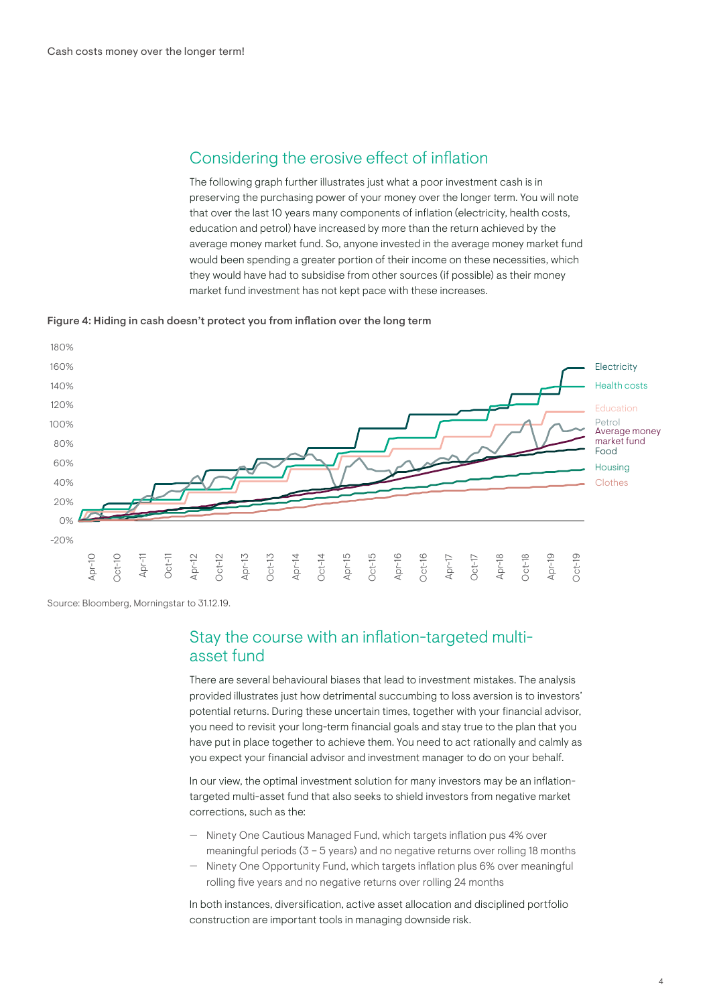# Considering the erosive effect of inflation

The following graph further illustrates just what a poor investment cash is in preserving the purchasing power of your money over the longer term. You will note that over the last 10 years many components of inflation (electricity, health costs, education and petrol) have increased by more than the return achieved by the average money market fund. So, anyone invested in the average money market fund would been spending a greater portion of their income on these necessities, which they would have had to subsidise from other sources (if possible) as their money market fund investment has not kept pace with these increases.

Figure 4: Hiding in cash doesn't protect you from inflation over the long term



Source: Bloomberg, Morningstar to 31.12.19.

## Stay the course with an inflation-targeted multiasset fund

There are several behavioural biases that lead to investment mistakes. The analysis provided illustrates just how detrimental succumbing to loss aversion is to investors' potential returns. During these uncertain times, together with your financial advisor, you need to revisit your long-term financial goals and stay true to the plan that you have put in place together to achieve them. You need to act rationally and calmly as you expect your financial advisor and investment manager to do on your behalf.

In our view, the optimal investment solution for many investors may be an inflationtargeted multi-asset fund that also seeks to shield investors from negative market corrections, such as the:

- Ninety One Cautious Managed Fund, which targets inflation pus 4% over meaningful periods (3 – 5 years) and no negative returns over rolling 18 months
- Ninety One Opportunity Fund, which targets inflation plus 6% over meaningful rolling five years and no negative returns over rolling 24 months

In both instances, diversification, active asset allocation and disciplined portfolio construction are important tools in managing downside risk.